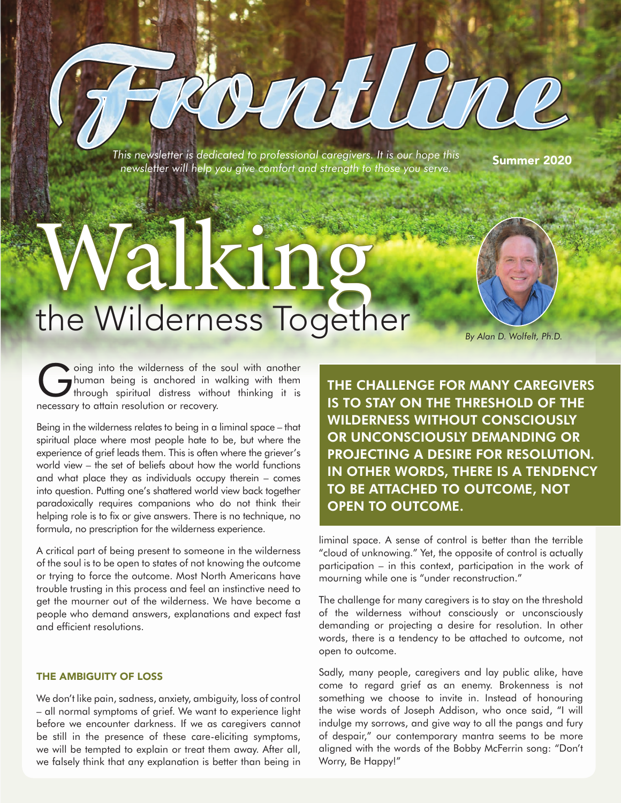*This newsletter is dedicated to professional caregivers. It is our hope this nis newsietter is dealcated to protessional caregivers. It is our nope this* summer 2020<br>newsletter will help you give comfort and strength to those you serve.

rntilune

# Walking the Wilderness Together

*By Alan D. Wolfelt, Ph.D.* 

Going into the wilderness of the soul with another<br>human being is anchored in walking with them<br>through spiritual distress without thinking it is human being is anchored in walking with them through spiritual distress without thinking it is necessary to attain resolution or recovery.

Being in the wilderness relates to being in a liminal space – that spiritual place where most people hate to be, but where the experience of grief leads them. This is often where the griever's world view – the set of beliefs about how the world functions and what place they as individuals occupy therein – comes into question. Putting one's shattered world view back together paradoxically requires companions who do not think their helping role is to fix or give answers. There is no technique, no formula, no prescription for the wilderness experience.

A critical part of being present to someone in the wilderness of the soul is to be open to states of not knowing the outcome or trying to force the outcome. Most North Americans have trouble trusting in this process and feel an instinctive need to get the mourner out of the wilderness. We have become a people who demand answers, explanations and expect fast and efficient resolutions.

#### THE AMBIGUITY OF LOSS

We don't like pain, sadness, anxiety, ambiguity, loss of control – all normal symptoms of grief. We want to experience light before we encounter darkness. If we as caregivers cannot be still in the presence of these care-eliciting symptoms, we will be tempted to explain or treat them away. After all, we falsely think that any explanation is better than being in

THE CHALLENGE FOR MANY CAREGIVERS IS TO STAY ON THE THRESHOLD OF THE WILDERNESS WITHOUT CONSCIOUSLY OR UNCONSCIOUSLY DEMANDING OR PROJECTING A DESIRE FOR RESOLUTION. IN OTHER WORDS, THERE IS A TENDENCY TO BE ATTACHED TO OUTCOME, NOT OPEN TO OUTCOME.

liminal space. A sense of control is better than the terrible "cloud of unknowing." Yet, the opposite of control is actually participation – in this context, participation in the work of mourning while one is "under reconstruction."

The challenge for many caregivers is to stay on the threshold of the wilderness without consciously or unconsciously demanding or projecting a desire for resolution. In other words, there is a tendency to be attached to outcome, not open to outcome.

Sadly, many people, caregivers and lay public alike, have come to regard grief as an enemy. Brokenness is not something we choose to invite in. Instead of honouring the wise words of Joseph Addison, who once said, "I will indulge my sorrows, and give way to all the pangs and fury of despair," our contemporary mantra seems to be more aligned with the words of the Bobby McFerrin song: "Don't Worry, Be Happy!"